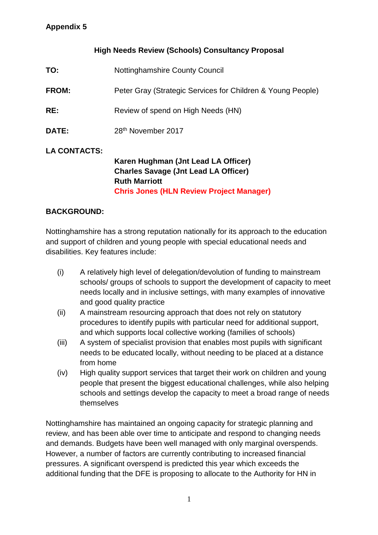### **High Needs Review (Schools) Consultancy Proposal**

| TO:                 | <b>Nottinghamshire County Council</b>                                                                                                                         |
|---------------------|---------------------------------------------------------------------------------------------------------------------------------------------------------------|
| FROM:               | Peter Gray (Strategic Services for Children & Young People)                                                                                                   |
| RE:                 | Review of spend on High Needs (HN)                                                                                                                            |
| <b>DATE:</b>        | 28 <sup>th</sup> November 2017                                                                                                                                |
| <b>LA CONTACTS:</b> | Karen Hughman (Jnt Lead LA Officer)<br><b>Charles Savage (Jnt Lead LA Officer)</b><br><b>Ruth Marriott</b><br><b>Chris Jones (HLN Review Project Manager)</b> |

### **BACKGROUND:**

Nottinghamshire has a strong reputation nationally for its approach to the education and support of children and young people with special educational needs and disabilities. Key features include:

- (i) A relatively high level of delegation/devolution of funding to mainstream schools/ groups of schools to support the development of capacity to meet needs locally and in inclusive settings, with many examples of innovative and good quality practice
- (ii) A mainstream resourcing approach that does not rely on statutory procedures to identify pupils with particular need for additional support, and which supports local collective working (families of schools)
- (iii) A system of specialist provision that enables most pupils with significant needs to be educated locally, without needing to be placed at a distance from home
- (iv) High quality support services that target their work on children and young people that present the biggest educational challenges, while also helping schools and settings develop the capacity to meet a broad range of needs themselves

Nottinghamshire has maintained an ongoing capacity for strategic planning and review, and has been able over time to anticipate and respond to changing needs and demands. Budgets have been well managed with only marginal overspends. However, a number of factors are currently contributing to increased financial pressures. A significant overspend is predicted this year which exceeds the additional funding that the DFE is proposing to allocate to the Authority for HN in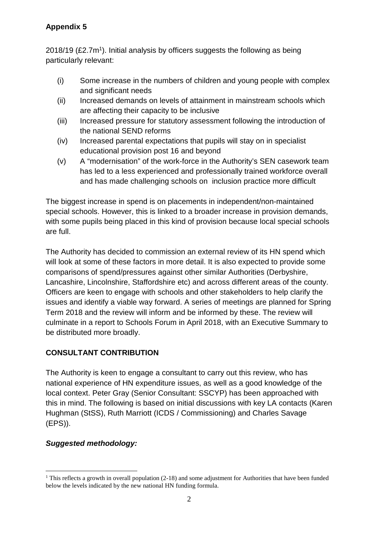## **Appendix 5**

 $2018/19$  (£2.7m<sup>1</sup>). Initial analysis by officers suggests the following as being particularly relevant:

- (i) Some increase in the numbers of children and young people with complex and significant needs
- (ii) Increased demands on levels of attainment in mainstream schools which are affecting their capacity to be inclusive
- (iii) Increased pressure for statutory assessment following the introduction of the national SEND reforms
- (iv) Increased parental expectations that pupils will stay on in specialist educational provision post 16 and beyond
- (v) A "modernisation" of the work-force in the Authority's SEN casework team has led to a less experienced and professionally trained workforce overall and has made challenging schools on inclusion practice more difficult

The biggest increase in spend is on placements in independent/non-maintained special schools. However, this is linked to a broader increase in provision demands, with some pupils being placed in this kind of provision because local special schools are full.

The Authority has decided to commission an external review of its HN spend which will look at some of these factors in more detail. It is also expected to provide some comparisons of spend/pressures against other similar Authorities (Derbyshire, Lancashire, Lincolnshire, Staffordshire etc) and across different areas of the county. Officers are keen to engage with schools and other stakeholders to help clarify the issues and identify a viable way forward. A series of meetings are planned for Spring Term 2018 and the review will inform and be informed by these. The review will culminate in a report to Schools Forum in April 2018, with an Executive Summary to be distributed more broadly.

# **CONSULTANT CONTRIBUTION**

The Authority is keen to engage a consultant to carry out this review, who has national experience of HN expenditure issues, as well as a good knowledge of the local context. Peter Gray (Senior Consultant: SSCYP) has been approached with this in mind. The following is based on initial discussions with key LA contacts (Karen Hughman (StSS), Ruth Marriott (ICDS / Commissioning) and Charles Savage (EPS)).

### **Suggested methodology:**

 $\overline{a}$ <sup>1</sup> This reflects a growth in overall population  $(2-18)$  and some adjustment for Authorities that have been funded below the levels indicated by the new national HN funding formula.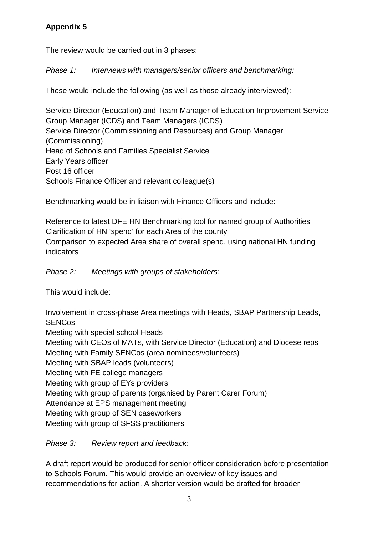# **Appendix 5**

The review would be carried out in 3 phases:

Phase 1: Interviews with managers/senior officers and benchmarking:

These would include the following (as well as those already interviewed):

Service Director (Education) and Team Manager of Education Improvement Service Group Manager (ICDS) and Team Managers (ICDS) Service Director (Commissioning and Resources) and Group Manager (Commissioning) Head of Schools and Families Specialist Service Early Years officer Post 16 officer Schools Finance Officer and relevant colleague(s)

Benchmarking would be in liaison with Finance Officers and include:

Reference to latest DFE HN Benchmarking tool for named group of Authorities Clarification of HN 'spend' for each Area of the county Comparison to expected Area share of overall spend, using national HN funding indicators

Phase 2: Meetings with groups of stakeholders:

This would include:

Involvement in cross-phase Area meetings with Heads, SBAP Partnership Leads, **SENCos** 

Meeting with special school Heads Meeting with CEOs of MATs, with Service Director (Education) and Diocese reps Meeting with Family SENCos (area nominees/volunteers) Meeting with SBAP leads (volunteers) Meeting with FE college managers Meeting with group of EYs providers Meeting with group of parents (organised by Parent Carer Forum) Attendance at EPS management meeting Meeting with group of SEN caseworkers Meeting with group of SFSS practitioners

Phase 3: Review report and feedback:

A draft report would be produced for senior officer consideration before presentation to Schools Forum. This would provide an overview of key issues and recommendations for action. A shorter version would be drafted for broader